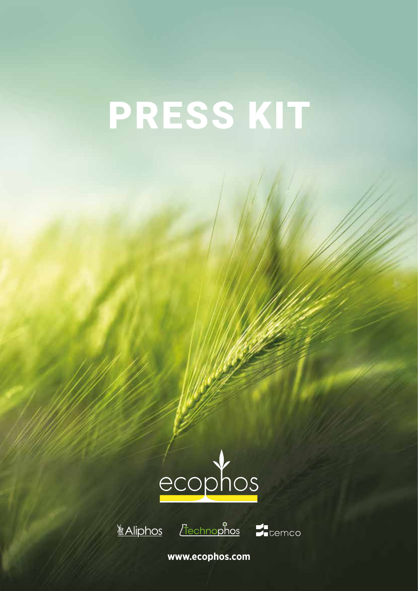# PRESS KIT



**Aliphos** 



**www.ecophos.com**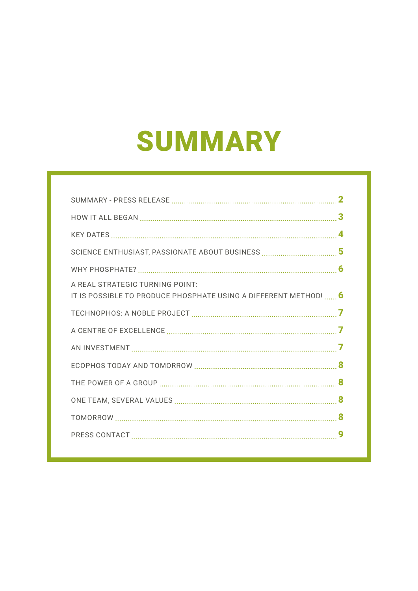# SUMMARY

| A REAL STRATEGIC TURNING POINT:                                  |  |
|------------------------------------------------------------------|--|
| IT IS POSSIBLE TO PRODUCE PHOSPHATE USING A DIFFERENT METHOD!  6 |  |
|                                                                  |  |
|                                                                  |  |
|                                                                  |  |
|                                                                  |  |
|                                                                  |  |
|                                                                  |  |
|                                                                  |  |
|                                                                  |  |
|                                                                  |  |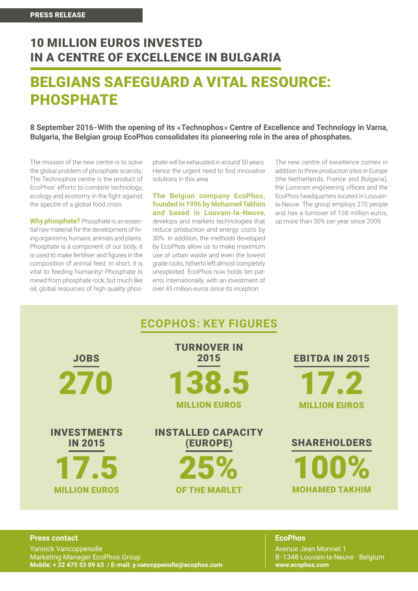### 10 MILLION EUROS INVESTED IN A CENTRE OF EXCELLENCE IN BULGARIA

### BELGIANS SAFEGUARD A VITAL RESOURCE: PHOSPHATE

**8 September 2016-With the opening of its «Technophos» Centre of Excellence and Technology in Varna, Bulgaria, the Belgian group EcoPhos consolidates its pioneering role in the area of phosphates.** 

The mission of the new centre is to solve the global problem of phosphate scarcity. The Technophos centre is the product of EcoPhos' efforts to combine technology, ecology and economy in the fight against the spectre of a global food crisis.

**Why phosphate?** Phosphate is an essential raw material for the development of living organisms, humans, animals and plants. Phosphate is a component of our body, it is used to make fertiliser and figures in the composition of animal feed. In short, it is vital to feeding humanity! Phosphate is mined from phosphate rock, but much like oil, global resources of high quality phos-

phate will be exhausted in around 50 years. Hence the urgent need to find innovative solutions in this area.

**The Belgian company EcoPhos, founded in 1996 by Mohamed Takhim and based in Louvain-la-Neuve**, develops and markets technologies that reduce production and energy costs by 30%. In addition, the methods developed by EcoPhos allow us to make maximum use of urban waste and even the lowest grade rocks, hitherto left almost completely unexploited. EcoPhos now holds ten patents internationally, with an investment of over 45 million euros since its inception.

The new centre of excellence comes in addition to three production sites in Europe (the Netherlands, France and Bulgaria), the Lummen engineering offices and the EcoPhos headquarters located in Louvainla-Neuve. The group employs 270 people and has a turnover of 138 million euros, up more than 50% per year since 2009.

|                                      | <b>ECOPHOS: KEY FIGURES</b>           |                       |
|--------------------------------------|---------------------------------------|-----------------------|
| <b>JOBS</b>                          | <b>TURNOVER IN</b><br>2015            | <b>EBITDA IN 2015</b> |
| 270                                  | 138.5                                 | 17.2                  |
|                                      | <b>MILLION EUROS</b>                  | <b>MILLION EUROS</b>  |
| <b>INVESTMENTS</b><br><b>IN 2015</b> | <b>INSTALLED CAPACITY</b><br>(EUROPE) | <b>SHAREHOLDERS</b>   |
| 17.5                                 | 25%                                   | 100%                  |
| <b>MILLION EUROS</b>                 | <b>OF THE MARLET</b>                  | <b>MOHAMED TAKHIM</b> |
|                                      |                                       |                       |

#### **Press contact**

Yannick Vancoppenolle Marketing Manager EcoPhos Group **Mobile: + 32 475 53 09 63 / E-mail: y.vancoppenolle@ecophos.com**

#### **EcoPhos**

Avenue Jean Monnet 1 B-1348 Louvain-la-Neuve · Belgium **www.ecophos.com**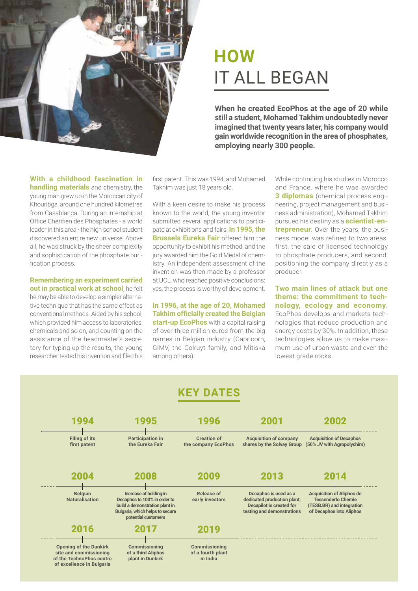

# **HOW** IT ALL BEGAN

**When he created EcoPhos at the age of 20 while still a student, Mohamed Takhim undoubtedly never imagined that twenty years later, his company would gain worldwide recognition in the area of phosphates, employing nearly 300 people.**

#### **With a childhood fascination in handling materials** and chemistry, the young man grew up in the Moroccan city of Khouribga, around one hundred kilometres from Casablanca. During an internship at Office Chérifien des Phosphates - a world leader in this area - the high school student discovered an entire new universe. Above all, he was struck by the sheer complexity and sophistication of the phosphate purification process.

**Remembering an experiment carried out in practical work at school**, he felt he may be able to develop a simpler alternative technique that has the same effect as conventional methods. Aided by his school, which provided him access to laboratories, chemicals and so on, and counting on the assistance of the headmaster's secretary for typing up the results, the young researcher tested his invention and filed his first patent. This was 1994, and Mohamed Takhim was just 18 years old.

With a keen desire to make his process known to the world, the young inventor submitted several applications to participate at exhibitions and fairs. **In 1995, the Brussels Eureka Fair** offered him the opportunity to exhibit his method, and the jury awarded him the Gold Medal of chemistry. An independent assessment of the invention was then made by a professor at UCL, who reached positive conclusions: yes, the process is worthy of development.

**In 1996, at the age of 20, Mohamed Takhim officially created the Belgian start-up EcoPhos** with a capital raising of over three million euros from the big names in Belgian industry (Capricorn, GIMV, the Colruyt family, and Mitiska among others).

While continuing his studies in Morocco and France, where he was awarded **3 diplomas** (chemical process engineering, project management and business administration), Mohamed Takhim pursued his destiny as a **scientist-entrepreneur**. Over the years, the business model was refined to two areas: first, the sale of licensed technology to phosphate producers, and second, positioning the company directly as a producer.

**Two main lines of attack but one theme: the commitment to technology, ecology and economy**. EcoPhos develops and markets technologies that reduce production and energy costs by 30%. In addition, these technologies allow us to make maximum use of urban waste and even the lowest grade rocks.

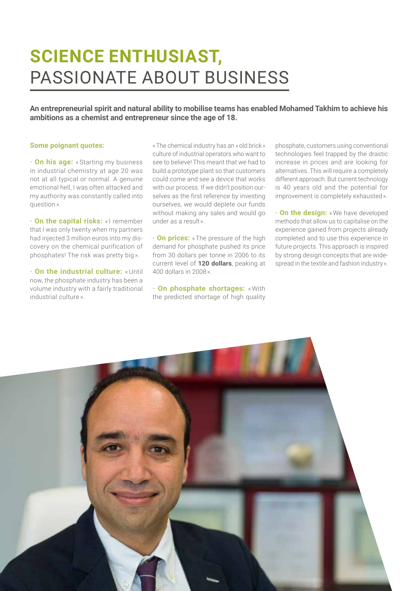# **SCIENCE ENTHUSIAST,** PASSIONATE ABOUT BUSINESS

**An entrepreneurial spirit and natural ability to mobilise teams has enabled Mohamed Takhim to achieve his ambitions as a chemist and entrepreneur since the age of 18.**

#### **Some poignant quotes:**

**· On his age:** « Starting my business in industrial chemistry at age 20 was not at all typical or normal. A genuine emotional hell, I was often attacked and my authority was constantly called into question ».

**· On the capital risks:** « I remember that I was only twenty when my partners had injected 3 million euros into my discovery on the chemical purification of phosphates! The risk was pretty big ».

**· On the industrial culture:** « Until now, the phosphate industry has been a volume industry with a fairly traditional industrial culture ».

« The chemical industry has an « old brick » culture of industrial operators who want to see to believe! This meant that we had to build a prototype plant so that customers could come and see a device that works with our process. If we didn't position ourselves as the first reference by investing ourselves, we would deplete our funds without making any sales and would go under as a result ».

**· On prices:** «The pressure of the high demand for phosphate pushed its price from 30 dollars per tonne in 2006 to its current level of **120 dollars**, peaking at 400 dollars in 2008 ».

**· On phosphate shortages:** « With the predicted shortage of high quality

phosphate, customers using conventional technologies feel trapped by the drastic increase in prices and are looking for alternatives. This will require a completely different approach. But current technology is 40 years old and the potential for improvement is completely exhausted ».

**· On the design:** « We have developed methods that allow us to capitalise on the experience gained from projects already completed and to use this experience in future projects. This approach is inspired by strong design concepts that are widespread in the textile and fashion industry ».

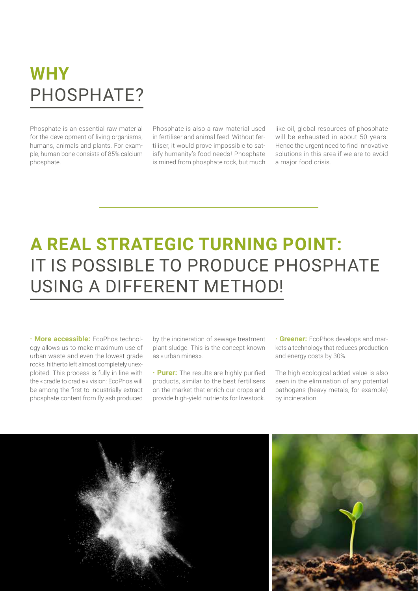# **WHY** PHOSPHATE?

Phosphate is an essential raw material for the development of living organisms, humans, animals and plants. For example, human bone consists of 85% calcium phosphate.

Phosphate is also a raw material used in fertiliser and animal feed. Without fertiliser, it would prove impossible to satisfy humanity's food needs ! Phosphate is mined from phosphate rock, but much like oil, global resources of phosphate will be exhausted in about 50 years. Hence the urgent need to find innovative solutions in this area if we are to avoid a major food crisis.

# **A REAL STRATEGIC TURNING POINT:**  IT IS POSSIBLE TO PRODUCE PHOSPHATE USING A DIFFERENT METHOD!

**· More accessible:** EcoPhos technology allows us to make maximum use of urban waste and even the lowest grade rocks, hitherto left almost completely unexploited. This process is fully in line with the « cradle to cradle » vision: EcoPhos will be among the first to industrially extract phosphate content from fly ash produced

by the incineration of sewage treatment plant sludge. This is the concept known as « urban mines ».

**· Purer:** The results are highly purified products, similar to the best fertilisers on the market that enrich our crops and provide high-yield nutrients for livestock.

**· Greener:** EcoPhos develops and markets a technology that reduces production and energy costs by 30%.

The high ecological added value is also seen in the elimination of any potential pathogens (heavy metals, for example) by incineration.

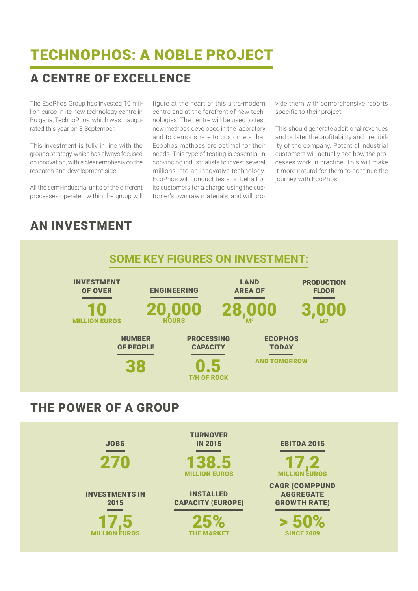## TECHNOPHOS: A NOBLE PROJECT

### A CENTRE OF EXCELLENCE

The EcoPhos Group has invested 10 million euros in its new technology centre in Bulgaria, TechnoPhos, which was inaugurated this year on 8 September.

This investment is fully in line with the group's strategy, which has always focused on innovation, with a clear emphasis on the research and development side.

All the semi-industrial units of the different processes operated within the group will

figure at the heart of this ultra-modern centre and at the forefront of new technologies. The centre will be used to test new methods developed in the laboratory and to demonstrate to customers that Ecophos methods are optimal for their needs. This type of testing is essential in convincing industrialists to invest several millions into an innovative technology. EcoPhos will conduct tests on behalf of its customers for a charge, using the customer's own raw materials, and will provide them with comprehensive reports specific to their project.

This should generate additional revenues and bolster the profitability and credibility of the company. Potential industrial customers will actually see how the processes work in practice. This will make it more natural for them to continue the journey with EcoPhos.

> 50% **SINCE 2009** 

### AN INVESTMENT



25%<br>THE MARKET

17,5 MILLION EUROS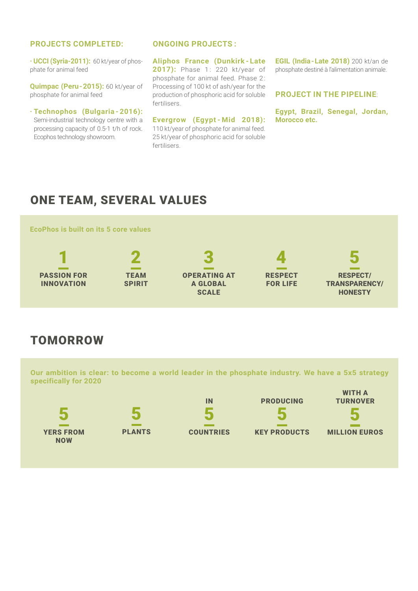### **PROJECTS COMPLETED:**

**· UCCI (Syria-2011):** 60 kt/year of phosphate for animal feed

**Quimpac (Peru-2015):** 60 kt/year of phosphate for animal feed

**· Technophos (Bulgaria - 2016):**  Semi-industrial technology centre with a processing capacity of 0.5-1 t/h of rock. Ecophos technology showroom.

#### **ONGOING PROJECTS :**

**Aliphos France (Dunkirk - Late 2017):** Phase 1: 220 kt/year of phosphate for animal feed. Phase 2: Processing of 100 kt of ash/year for the production of phosphoric acid for soluble fertilisers.

**Evergrow (Egypt - Mid 2018):**  110 kt/year of phosphate for animal feed. 25 kt/year of phosphoric acid for soluble fertilisers.

**EGIL (India-Late 2018)** 200 kt/an de phosphate destiné à l'alimentation animale.

#### **PROJECT IN THE PIPELINE**:

**Egypt, Brazil, Senegal, Jordan, Morocco etc.**

### ONE TEAM, SEVERAL VALUES



### TOMORROW

**Our ambition is clear: to become a world leader in the phosphate industry. We have a 5x5 strategy specifically for 2020**



5 PLANTS



**COUNTRIES** 



WITH A TURNOVER 5

KEY PRODUCTS

MILLION EUROS